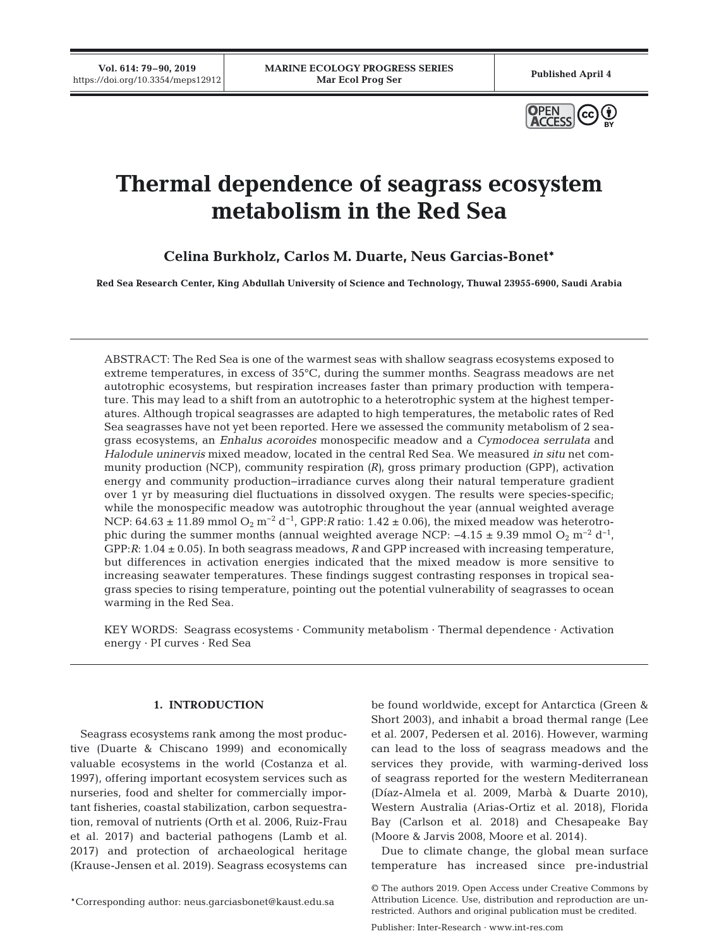

# **Thermal dependence of seagrass ecosystem metabolism in the Red Sea**

**Celina Burkholz, Carlos M. Duarte, Neus Garcias-Bonet\***

**Red Sea Research Center, King Abdullah University of Science and Technology, Thuwal 23955-6900, Saudi Arabia**

ABSTRACT: The Red Sea is one of the warmest seas with shallow seagrass ecosystems exposed to extreme temperatures, in excess of 35°C, during the summer months. Seagrass meadows are net autotrophic ecosystems, but respiration increases faster than primary production with temperature. This may lead to a shift from an autotrophic to a heterotrophic system at the highest temperatures. Although tropical seagrasses are adapted to high temperatures, the metabolic rates of Red Sea seagrasses have not yet been reported. Here we assessed the community metabolism of 2 seagrass ecosystems, an *Enhalus acoroides* monospecific meadow and a *Cymodocea serrulata* and *Halodule uninervis* mixed meadow, located in the central Red Sea. We measured *in situ* net community production (NCP), community respiration *(R)*, gross primary production (GPP), activation energy and community production−irradiance curves along their natural temperature gradient over 1 yr by measuring diel fluctuations in dissolved oxygen. The results were species-specific; while the monospecific meadow was autotrophic throughout the year (annual weighted average NCP:  $64.63 \pm 11.89$  mmol O<sub>2</sub> m<sup>-2</sup> d<sup>-1</sup>, GPP:*R* ratio:  $1.42 \pm 0.06$ ), the mixed meadow was heterotrophic during the summer months (annual weighted average NCP:  $-4.15 \pm 9.39$  mmol O<sub>2</sub> m<sup>-2</sup> d<sup>-1</sup>, GPP:*R*: 1.04 ± 0.05). In both seagrass meadows, *R* and GPP increased with increasing temperature, but differences in activation energies indicated that the mixed meadow is more sensitive to increasing seawater temperatures. These findings suggest contrasting responses in tropical seagrass species to rising temperature, pointing out the potential vulnerability of seagrasses to ocean warming in the Red Sea.

KEY WORDS: Seagrass ecosystems · Community metabolism · Thermal dependence · Activation energy · PI curves · Red Sea

# **1. INTRODUCTION**

Seagrass ecosystems rank among the most productive (Duarte & Chiscano 1999) and economically valuable ecosystems in the world (Costanza et al. 1997), offering important ecosystem services such as nurseries, food and shelter for commercially important fisheries, coastal stabilization, carbon sequestration, removal of nutrients (Orth et al. 2006, Ruiz-Frau et al. 2017) and bacterial pathogens (Lamb et al. 2017) and protection of archaeological heritage (Krause-Jensen et al. 2019). Seagrass ecosystems can

be found worldwide, except for Antarctica (Green & Short 2003), and inhabit a broad thermal range (Lee et al. 2007, Pedersen et al. 2016). However, warming can lead to the loss of seagrass meadows and the services they provide, with warming-derived loss of seagrass reported for the western Mediterranean (Díaz-Almela et al. 2009, Marbà & Duarte 2010), Western Australia (Arias-Ortiz et al. 2018), Florida Bay (Carlson et al. 2018) and Chesapeake Bay (Moore & Jarvis 2008, Moore et al. 2014).

Due to climate change, the global mean surface temperature has increased since pre-industrial

<sup>©</sup> The authors 2019. Open Access under Creative Commons by Attribution Licence. Use, distribution and reproduction are unrestricted. Authors and original publication must be credited.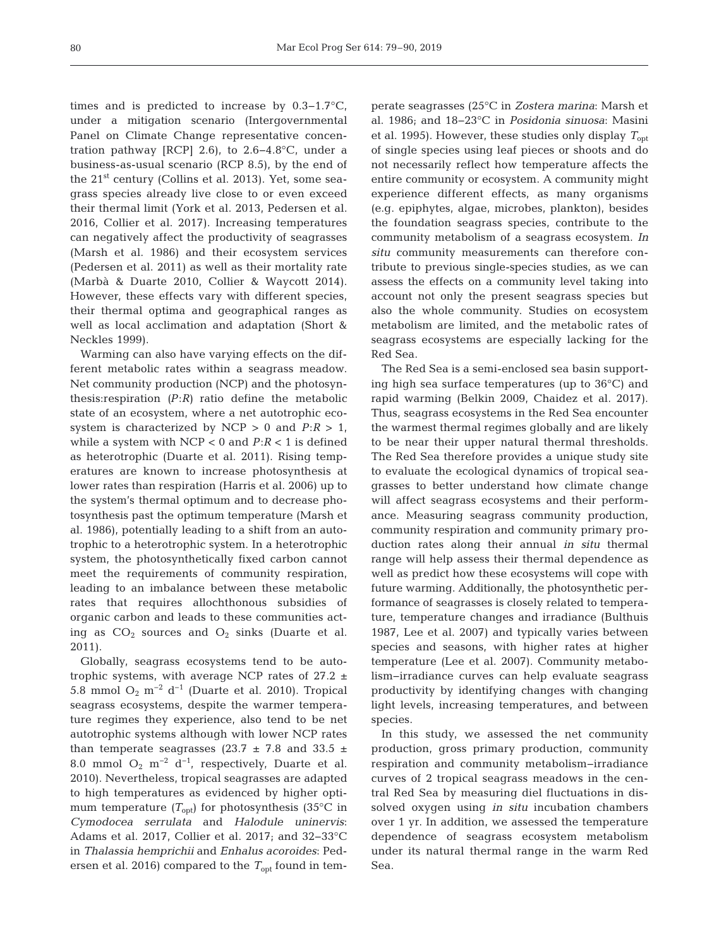times and is predicted to increase by 0.3−1.7°C, under a mitigation scenario (Intergovernmental Panel on Climate Change representative concentration pathway [RCP] 2.6), to 2.6–4.8°C, under a business-as-usual scenario (RCP 8.5), by the end of the 21st century (Collins et al. 2013). Yet, some seagrass species already live close to or even exceed their thermal limit (York et al. 2013, Pedersen et al. 2016, Collier et al. 2017). Increasing temperatures can negatively affect the productivity of seagrasses (Marsh et al. 1986) and their ecosystem services (Pedersen et al. 2011) as well as their mortality rate (Marbà & Duarte 2010, Collier & Waycott 2014). However, these effects vary with different species, their thermal optima and geographical ranges as well as local acclimation and adaptation (Short & Neckles 1999).

Warming can also have varying effects on the different metabolic rates within a seagrass meadow. Net community production (NCP) and the photosynthesis:respiration *(P*:*R)* ratio define the metabolic state of an ecosystem, where a net autotrophic ecosystem is characterized by NCP  $> 0$  and  $P:R > 1$ , while a system with NCP < 0 and *P*:*R* < 1 is defined as heterotrophic (Duarte et al. 2011). Rising temperatures are known to increase photosynthesis at lower rates than respiration (Harris et al. 2006) up to the system's thermal optimum and to decrease photosynthesis past the optimum temperature (Marsh et al. 1986), potentially leading to a shift from an autotrophic to a heterotrophic system. In a heterotrophic system, the photosynthetically fixed carbon cannot meet the requirements of community respiration, leading to an imbalance between these metabolic rates that requires allochthonous subsidies of organic carbon and leads to these communities acting as  $CO_2$  sources and  $O_2$  sinks (Duarte et al. 2011).

Globally, seagrass ecosystems tend to be autotrophic systems, with average NCP rates of  $27.2 \pm$ 5.8 mmol  $O_2$  m<sup>-2</sup> d<sup>-1</sup> (Duarte et al. 2010). Tropical seagrass ecosystems, despite the warmer temperature regimes they experience, also tend to be net autotrophic systems although with lower NCP rates than temperate seagrasses (23.7  $\pm$  7.8 and 33.5  $\pm$ 8.0 mmol  $O_2$  m<sup>-2</sup> d<sup>-1</sup>, respectively, Duarte et al. 2010). Nevertheless, tropical seagrasses are adapted to high temperatures as evidenced by higher optimum temperature  $(T_{\text{opt}})$  for photosynthesis (35<sup>o</sup>C in *Cymodocea serrulata* and *Halodule uninervis*: Adams et al. 2017, Collier et al. 2017; and 32−33°C in *Thalassia hemprichii* and *Enhalus acoroides*: Pedersen et al. 2016) compared to the  $T_{opt}$  found in temperate seagrasses (25°C in *Zostera marina*: Marsh et al. 1986; and 18−23°C in *Posidonia sinuosa*: Masini et al. 1995). However, these studies only display  $T_{\text{opt}}$ of single species using leaf pieces or shoots and do not necessarily reflect how temperature affects the entire community or ecosystem. A community might experience different effects, as many organisms (e.g. epiphytes, algae, microbes, plankton), besides the foundation seagrass species, contribute to the community metabolism of a seagrass ecosystem. *In situ* community measurements can therefore contribute to previous single-species studies, as we can assess the effects on a community level taking into account not only the present seagrass species but also the whole community. Studies on ecosystem metabolism are limited, and the metabolic rates of seagrass ecosystems are especially lacking for the Red Sea.

The Red Sea is a semi-enclosed sea basin supporting high sea surface temperatures (up to 36°C) and rapid warming (Belkin 2009, Chaidez et al. 2017). Thus, seagrass ecosystems in the Red Sea encounter the warmest thermal regimes globally and are likely to be near their upper natural thermal thresholds. The Red Sea therefore provides a unique study site to evaluate the ecological dynamics of tropical seagrasses to better understand how climate change will affect seagrass ecosystems and their performance. Measuring seagrass community production, community respiration and community primary production rates along their annual *in situ* thermal range will help assess their thermal dependence as well as predict how these ecosystems will cope with future warming. Additionally, the photosynthetic per formance of seagrasses is closely related to temperature, temperature changes and irradiance (Bulthuis 1987, Lee et al. 2007) and typically varies between species and seasons, with higher rates at higher temperature (Lee et al. 2007). Community metabolism−irradiance curves can help evaluate seagrass productivity by identifying changes with changing light levels, increasing temperatures, and between species.

In this study, we assessed the net community production, gross primary production, community respiration and community metabolism−irradiance curves of 2 tropical seagrass meadows in the central Red Sea by measuring diel fluctuations in dissolved oxygen using *in situ* incubation chambers over 1 yr. In addition, we assessed the temperature dependence of seagrass ecosystem metabolism under its natural thermal range in the warm Red Sea.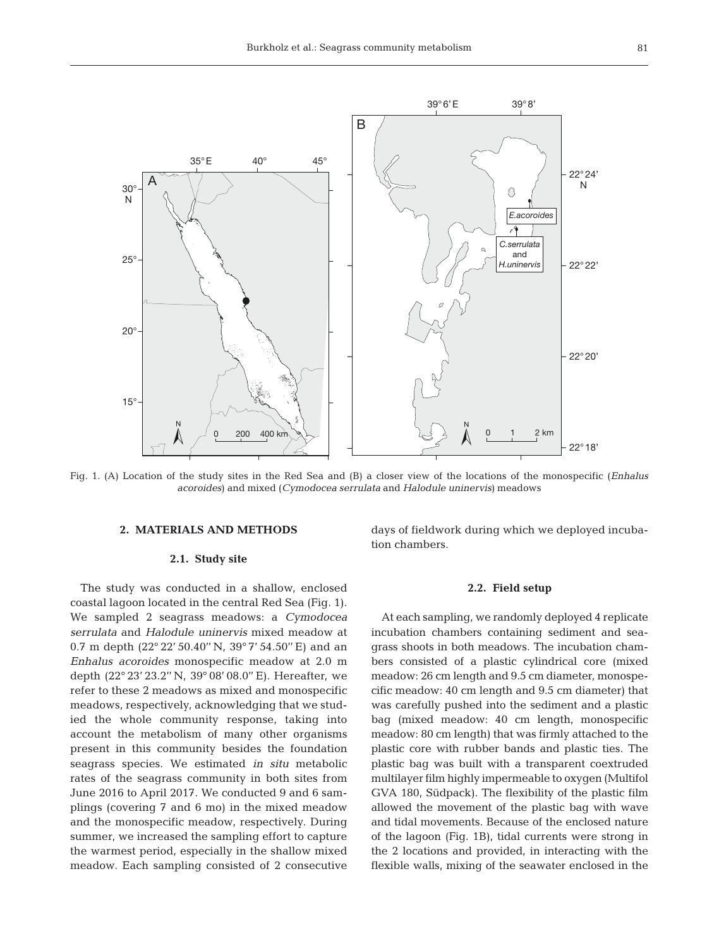

Fig. 1. (A) Location of the study sites in the Red Sea and (B) a closer view of the locations of the monospecific (*Enhalus acoroides*) and mixed (*Cymodocea serrulata* and *Halodule uninervis*) meadows

#### **2. MATERIALS AND METHODS**

## **2.1. Study site**

The study was conducted in a shallow, enclosed coastal lagoon located in the central Red Sea (Fig. 1). We sampled 2 seagrass meadows: a *Cymodocea serrulata* and *Halodule uninervis* mixed meadow at 0.7 m depth (22° 22' 50.40'' N, 39° 7' 54.50'' E) and an *Enhalus acoroides* monospecific meadow at 2.0 m depth (22° 23' 23.2'' N, 39° 08' 08.0'' E). Hereafter, we refer to these 2 meadows as mixed and monospecific meadows, respectively, acknowledging that we studied the whole community response, taking into account the metabolism of many other organisms present in this community besides the foundation seagrass species. We estimated *in situ* metabolic rates of the seagrass community in both sites from June 2016 to April 2017. We conducted 9 and 6 samplings (covering 7 and 6 mo) in the mixed meadow and the monospecific meadow, respectively. During summer, we increased the sampling effort to capture the warmest period, especially in the shallow mixed meadow. Each sampling consisted of 2 consecutive days of fieldwork during which we deployed incubation chambers.

## **2.2. Field setup**

At each sampling, we randomly deployed 4 replicate incubation chambers containing sediment and seagrass shoots in both meadows. The incubation chambers consisted of a plastic cylindrical core (mixed meadow: 26 cm length and 9.5 cm diameter, monospecific meadow: 40 cm length and 9.5 cm diameter) that was carefully pushed into the sediment and a plastic bag (mixed meadow: 40 cm length, monospecific meadow: 80 cm length) that was firmly attached to the plastic core with rubber bands and plastic ties. The plastic bag was built with a transparent coextruded multilayer film highly impermeable to oxygen (Multifol GVA 180, Südpack). The flexibility of the plastic film allowed the movement of the plastic bag with wave and tidal movements. Because of the enclosed nature of the lagoon (Fig. 1B), tidal currents were strong in the 2 locations and provided, in interacting with the flexible walls, mixing of the seawater enclosed in the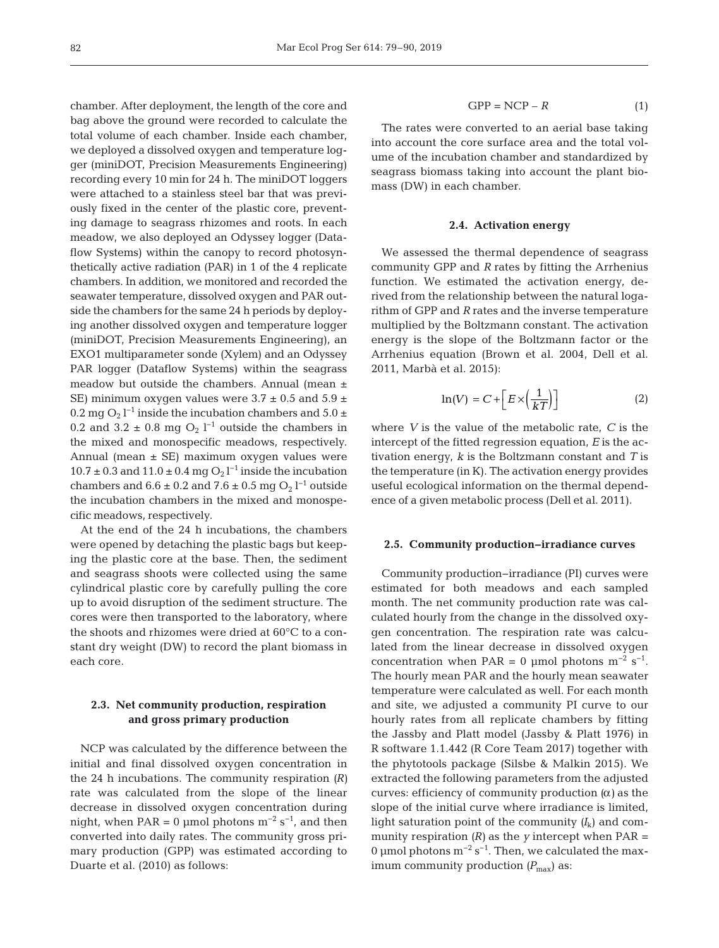chamber. After deployment, the length of the core and bag above the ground were recorded to calculate the total volume of each chamber. Inside each chamber, we deployed a dissolved oxygen and temperature logger (miniDOT, Precision Measurements Engineering) recording every 10 min for 24 h. The miniDOT loggers were attached to a stainless steel bar that was previously fixed in the center of the plastic core, preventing damage to seagrass rhizomes and roots. In each meadow, we also deployed an Odyssey logger (Data flow Systems) within the canopy to record photosynthetically active radiation (PAR) in 1 of the 4 replicate chambers. In addition, we monitored and recorded the seawater temperature, dissolved oxygen and PAR outside the chambers for the same 24 h periods by deploying another dissolved oxygen and temperature logger (miniDOT, Precision Measurements Engineering), an EXO1 multiparameter sonde (Xylem) and an Odyssey PAR logger (Dataflow Systems) within the seagrass meadow but outside the chambers. Annual (mean  $\pm$ SE) minimum oxygen values were  $3.7 \pm 0.5$  and  $5.9 \pm 1.5$ 0.2 mg O<sub>2</sub> l<sup>-1</sup> inside the incubation chambers and 5.0  $\pm$ 0.2 and  $3.2 \pm 0.8$  mg O<sub>2</sub> l<sup>-1</sup> outside the chambers in the mixed and monospecific meadows, respectively. Annual (mean ± SE) maximum oxygen values were  $10.7 \pm 0.3$  and  $11.0 \pm 0.4$  mg  $O_2$  l<sup>-1</sup> inside the incubation chambers and  $6.6 \pm 0.2$  and  $7.6 \pm 0.5$  mg  $O_2$  l<sup>-1</sup> outside the incubation chambers in the mixed and monospecific meadows, respectively.

At the end of the 24 h incubations, the chambers were opened by detaching the plastic bags but keeping the plastic core at the base. Then, the sediment and seagrass shoots were collected using the same cylindrical plastic core by carefully pulling the core up to avoid disruption of the sediment structure. The cores were then transported to the laboratory, where the shoots and rhizomes were dried at 60°C to a constant dry weight (DW) to record the plant biomass in each core.

# **2.3. Net community production, respiration and gross primary production**

NCP was calculated by the difference between the initial and final dissolved oxygen concentration in the 24 h incubations. The community respiration *(R)* rate was calculated from the slope of the linear decrease in dissolved oxygen concentration during night, when PAR = 0 µmol photons  $m^{-2}$  s<sup>-1</sup>, and then converted into daily rates. The community gross primary production (GPP) was estimated according to Duarte et al. (2010) as follows:

$$
GPP = NCP - R \tag{1}
$$

The rates were converted to an aerial base taking into account the core surface area and the total volume of the incubation chamber and standardized by seagrass biomass taking into account the plant biomass (DW) in each chamber.

### **2.4. Activation energy**

We assessed the thermal dependence of seagrass community GPP and *R* rates by fitting the Arrhenius function. We estimated the activation energy, derived from the relationship between the natural logarithm of GPP and *R* rates and the inverse temperature multiplied by the Boltzmann constant. The activation energy is the slope of the Boltzmann factor or the Arrhenius equation (Brown et al. 2004, Dell et al. 2011, Marbà et al. 2015):

$$
\ln(V) = C + \left[ E \times \left( \frac{1}{kT} \right) \right] \tag{2}
$$

where *V* is the value of the metabolic rate, *C* is the intercept of the fitted regression equation, *E* is the activation energy, *k* is the Boltzmann constant and *T* is the temperature (in K). The activation energy provides useful ecological information on the thermal dependence of a given metabolic process (Dell et al. 2011).

## **2.5. Community production−irradiance curves**

Community production−irradiance (PI) curves were estimated for both meadows and each sampled month. The net community production rate was calculated hourly from the change in the dissolved oxygen concentration. The respiration rate was calculated from the linear decrease in dissolved oxygen concentration when PAR = 0 µmol photons  $m^{-2}$  s<sup>-1</sup>. The hourly mean PAR and the hourly mean seawater temperature were calculated as well. For each month and site, we adjusted a community PI curve to our hourly rates from all replicate chambers by fitting the Jassby and Platt model (Jassby & Platt 1976) in R software 1.1.442 (R Core Team 2017) together with the phytotools package (Silsbe & Malkin 2015). We extracted the following parameters from the adjusted curves: efficiency of community production *(*α*)* as the slope of the initial curve where irradiance is limited, light saturation point of the community *(I*k) and community respiration *(R)* as the *y* intercept when PAR = 0 µmol photons  $m^{-2} s^{-1}$ . Then, we calculated the maximum community production *(P<sub>max</sub>)* as: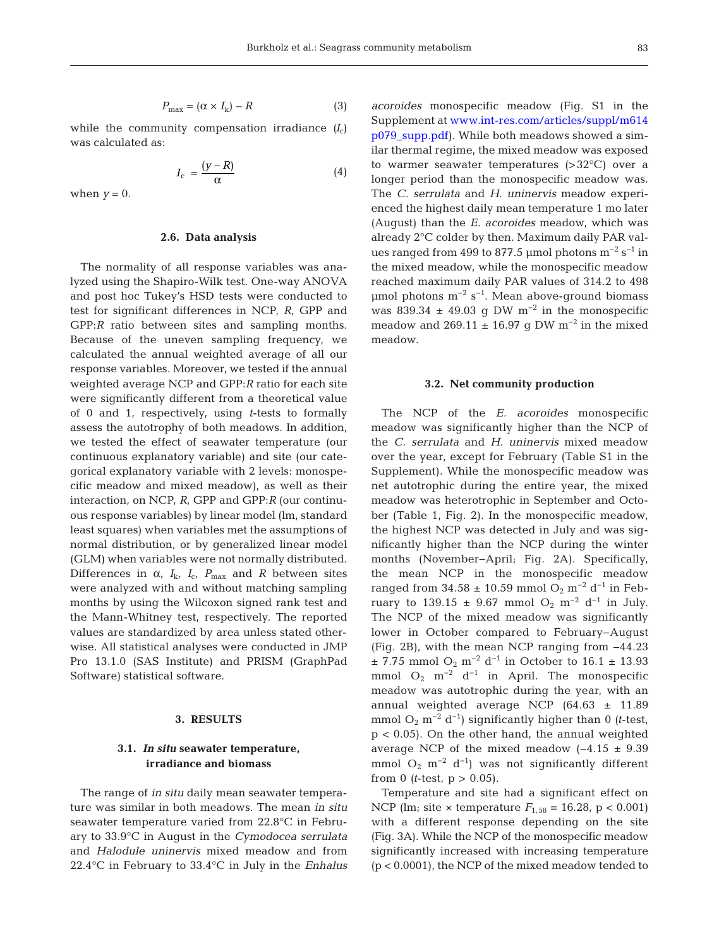$$
P_{\text{max}} = (\alpha \times I_{k}) - R \tag{3}
$$

while the community compensation irradiance  $(I_c)$ was calculated as:

$$
I_{\rm c} = \frac{(y - R)}{\alpha} \tag{4}
$$

when  $y = 0$ .

## **2.6. Data analysis**

The normality of all response variables was analyzed using the Shapiro-Wilk test. One-way ANOVA and post hoc Tukey's HSD tests were conducted to test for significant differences in NCP, *R*, GPP and GPP:*R* ratio between sites and sampling months. Because of the uneven sampling frequency, we calculated the annual weighted average of all our response variables. Moreover, we tested if the annual weighted average NCP and GPP:*R* ratio for each site were significantly different from a theoretical value of 0 and 1, respectively, using *t*-tests to formally assess the autotrophy of both meadows. In addition, we tested the effect of seawater temperature (our continuous explanatory variable) and site (our categorical explanatory variable with 2 levels: monospecific meadow and mixed meadow), as well as their interaction, on NCP, *R*, GPP and GPP:*R* (our continuous response variables) by linear model (lm, standard least squares) when variables met the assumptions of normal distribution, or by generalized linear model (GLM) when variables were not normally distributed. Differences in  $\alpha$ ,  $I_{k}$ ,  $I_{c}$ ,  $P_{\text{max}}$  and *R* between sites were analyzed with and without matching sampling months by using the Wilcoxon signed rank test and the Mann-Whitney test, respectively. The reported values are standardized by area unless stated otherwise. All statistical analyses were conducted in JMP Pro 13.1.0 (SAS Institute) and PRISM (GraphPad Software) statistical software.

## **3. RESULTS**

# **3.1.** *In situ* **seawater temperature, irradiance and biomass**

The range of *in situ* daily mean seawater temperature was similar in both meadows. The mean *in situ* seawater temperature varied from 22.8°C in February to 33.9°C in August in the *Cymodocea serrulata* and *Halodule uninervis* mixed meadow and from 22.4°C in February to 33.4°C in July in the *Enhalus* *acoroides* monospecific meadow (Fig. S1 in the Supplement at www.int-res.com/articles/suppl/m614 [p079\\_ supp. pdf\). W](https://www.int-res.com/articles/suppl/m614p079_supp.pdf)hile both meadows showed a similar thermal regime, the mixed meadow was exposed to warmer seawater temperatures (>32°C) over a longer period than the monospecific meadow was. The *C. serrulata* and *H. uninervis* meadow experienced the highest daily mean temperature 1 mo later (August) than the *E. acoroides* meadow, which was already 2°C colder by then. Maximum daily PAR values ranged from 499 to 877.5 µmol photons  $m^{-2}$  s<sup>-1</sup> in the mixed meadow, while the monospecific meadow reached maximum daily PAR values of 314.2 to 498 µmol photons m<sup>-2</sup> s<sup>-1</sup>. Mean above-ground biomass was 839.34  $\pm$  49.03 g DW m<sup>-2</sup> in the monospecific meadow and 269.11  $\pm$  16.97 g DW m<sup>-2</sup> in the mixed meadow.

## **3.2. Net community production**

The NCP of the *E. acoroides* monospecific meadow was significantly higher than the NCP of the *C. serrulata* and *H. uninervis* mixed meadow over the year, except for February (Table S1 in the Supplement). While the monospecific meadow was net autotrophic during the entire year, the mixed meadow was heterotrophic in September and October (Table 1, Fig. 2). In the monospecific meadow, the highest NCP was detected in July and was significantly higher than the NCP during the winter months (November–April; Fig. 2A). Specifically, the mean NCP in the monospecific meadow ranged from 34.58 ± 10.59 mmol O<sub>2</sub> m<sup>-2</sup> d<sup>-1</sup> in February to 139.15 ± 9.67 mmol O<sub>2</sub> m<sup>-2</sup> d<sup>-1</sup> in July. The NCP of the mixed meadow was significantly lower in October compared to February− August (Fig. 2B), with the mean NCP ranging from −44.23  $±$  7.75 mmol O<sub>2</sub> m<sup>-2</sup> d<sup>-1</sup> in October to 16.1  $±$  13.93 mmol  $O_2$  m<sup>-2</sup> d<sup>-1</sup> in April. The monospecific meadow was autotrophic during the year, with an annual weighted average NCP (64.63 ± 11.89 mmol  $O_2$  m<sup>-2</sup> d<sup>-1</sup>) significantly higher than 0 *(t*-test, p < 0.05). On the other hand, the annual weighted average NCP of the mixed meadow (−4.15 ± 9.39 mmol  $O_2$  m<sup>-2</sup> d<sup>-1</sup>) was not significantly different from 0 (*t*-test,  $p > 0.05$ ).

Temperature and site had a significant effect on NCP (lm; site  $\times$  temperature  $F_{1,58} = 16.28$ ,  $p < 0.001$ ) with a different response depending on the site (Fig. 3A). While the NCP of the monospecific meadow significantly increased with increasing temperature (p < 0.0001), the NCP of the mixed meadow tended to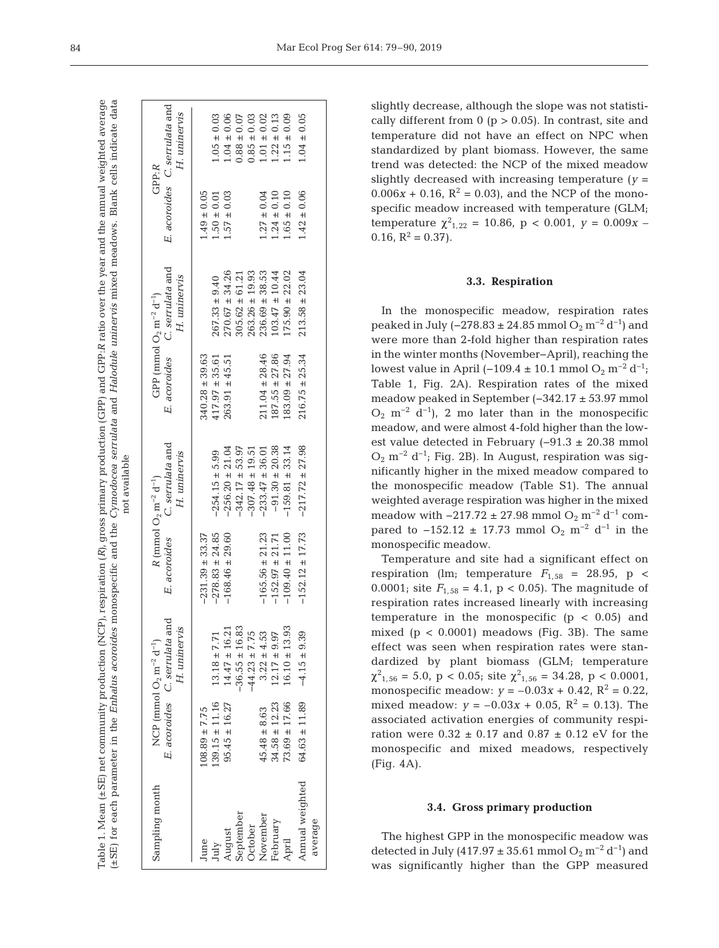|                             |                    |                                                                                                    |                     | not available                                                                                      |                    |                                                                                                    |                 |                                               |
|-----------------------------|--------------------|----------------------------------------------------------------------------------------------------|---------------------|----------------------------------------------------------------------------------------------------|--------------------|----------------------------------------------------------------------------------------------------|-----------------|-----------------------------------------------|
| Sampling month              |                    | E. acoroides C. serrulata and<br>H. uninervis<br>NCP (mmol $O_2$ m <sup>-2</sup> d <sup>-1</sup> ) |                     | E. acoroides C. serrulata and<br>H. uninervis<br>$R$ (mmol $O_2$ m <sup>-2</sup> d <sup>-1</sup> ) |                    | E. acoroides C. serrulata and<br>H. uninervis<br>GPP (mmol $O_2$ m <sup>-2</sup> d <sup>-1</sup> ) | GPP:R           | E. acoroides C. serrulata and<br>H. uninervis |
| June                        | $108.89 \pm 7.75$  |                                                                                                    | $-231.39 \pm 33.37$ |                                                                                                    | $340.28 \pm 39.63$ |                                                                                                    | $1.49 \pm 0.05$ |                                               |
| July<br>August<br>September | $139.15 \pm 11.16$ | $13.18 \pm 7.71$                                                                                   | $-278.83 \pm 24.85$ | $-254.15 \pm 5.99$                                                                                 | $417.97 \pm 35.61$ | $267.33 \pm 9.40$                                                                                  | $1.50 \pm 0.01$ | $1.05 \pm 0.03$                               |
|                             | $95.45 \pm 16.27$  | $14.47 \pm 16.21$                                                                                  | $-168.46 \pm 29.60$ | $-256.20 \pm 21.04$                                                                                | $263.91 \pm 45.51$ | $270.67 \pm 34.26$                                                                                 | $1.57 \pm 0.03$ | $1.04 \pm 0.06$                               |
|                             |                    | $-36.55 \pm 16.83$                                                                                 |                     | $-342.17 \pm 53.97$                                                                                |                    | $305.62 \pm 61.21$                                                                                 |                 | $0.88 \pm 0.07$                               |
| October                     |                    | $-44.23 \pm 7.75$                                                                                  |                     | $-307.48 \pm 19.51$                                                                                |                    | $263.26 \pm 19.93$                                                                                 |                 | $0.85 \pm 0.03$                               |
| November                    | $45.48 \pm 8.63$   | $3.22 \pm 4.53$                                                                                    | $-165.56 \pm 21.23$ | $-233.47 \pm 36.01$                                                                                | $211.04 \pm 28.46$ | $236.69 \pm 38.53$                                                                                 | $1.27 \pm 0.04$ | $1.01 \pm 0.02$                               |
| February                    | $34.58 \pm 12.23$  | $12.17 \pm 9.97$                                                                                   | $-152.97 \pm 21.71$ | $-91.30 \pm 20.38$                                                                                 | $187.55 \pm 27.86$ | $103.47 \pm 10.44$                                                                                 | $1.24 \pm 0.10$ | $1.22 \pm 0.13$                               |
| April                       | $73.69 \pm 17.66$  | $16.10 \pm 13.93$                                                                                  | $-109.40 \pm 11.00$ | $-159.81 \pm 33.14$                                                                                | $183.09 \pm 27.94$ | $175.90 \pm 22.02$                                                                                 | $1.65 \pm 0.10$ | $1.15 \pm 0.09$                               |
| Annual weighted             | $64.63 \pm 11.89$  | $-4.15 \pm 9.39$                                                                                   | $-152.12 \pm 17.73$ | $-217.72 \pm 27.98$                                                                                | $216.75 \pm 25.34$ | $213.58 \pm 23.04$                                                                                 | $1.42 \pm 0.06$ | $1.04 \pm 0.05$                               |
| average                     |                    |                                                                                                    |                     |                                                                                                    |                    |                                                                                                    |                 |                                               |

slightly decrease, although the slope was not statistically different from  $0$  ( $p > 0.05$ ). In contrast, site and temperature did not have an effect on NPC when standardized by plant biomass. However, the same trend was detected: the NCP of the mixed meadow slightly decreased with increasing temperature  $(y =$  $0.006x + 0.16$ ,  $R^2 = 0.03$ , and the NCP of the monospecific meadow increased with temperature (GLM; temperature  $\chi^2_{1,22} = 10.86$ , p < 0.001, y = 0.009x – 0.16,  $R^2 = 0.37$ .

## **3.3. Respiration**

In the monospecific meadow, respiration rates peaked in July (-278.83 ± 24.85 mmol  $O_2$  m<sup>-2</sup> d<sup>-1</sup>) and were more than 2-fold higher than respiration rates in the winter months (November−April), reaching the lowest value in April (−109.4 ± 10.1 mmol  $O_2$  m<sup>-2</sup> d<sup>-1</sup>; Table 1, Fig. 2A). Respiration rates of the mixed meadow peaked in September (−342.17 ± 53.97 mmol  $O_2$  m<sup>-2</sup> d<sup>-1</sup>), 2 mo later than in the monospecific meadow, and were almost 4-fold higher than the lowest value detected in February (−91.3 ± 20.38 mmol  $O_2$  m<sup>-2</sup> d<sup>-1</sup>; Fig. 2B). In August, respiration was significantly higher in the mixed meadow compared to the monospecific meadow (Table S1). The annual weighted average respiration was higher in the mixed meadow with  $-217.72 \pm 27.98$  mmol O<sub>2</sub> m<sup>-2</sup> d<sup>-1</sup> compared to  $-152.12 \pm 17.73$  mmol O<sub>2</sub> m<sup>-2</sup> d<sup>-1</sup> in the monospecific meadow.

Temperature and site had a significant effect on respiration (lm; temperature  $F_{1,58}$  = 28.95, p < 0.0001; site  $F_{1,58} = 4.1$ , p < 0.05). The magnitude of respiration rates increased linearly with increasing temperature in the monospecific  $(p < 0.05)$  and mixed  $(p < 0.0001)$  meadows (Fig. 3B). The same effect was seen when respiration rates were standardized by plant biomass (GLM; temperature  $\chi^2_{1,56} = 5.0$ , p < 0.05; site  $\chi^2_{1,56} = 34.28$ , p < 0.0001, monospecific meadow:  $y = -0.03x + 0.42$ ,  $R^2 = 0.22$ , mixed meadow:  $y = -0.03x + 0.05$ ,  $R^2 = 0.13$ ). The associated activation energies of community respiration were  $0.32 \pm 0.17$  and  $0.87 \pm 0.12$  eV for the monospecific and mixed meadows, respectively (Fig. 4A).

#### **3.4. Gross primary production**

The highest GPP in the monospecific meadow was detected in July (417.97 ± 35.61 mmol  $O_2$  m<sup>-2</sup> d<sup>-1</sup>) and was significantly higher than the GPP measured

Table 1. Mean (±SE) net community production (NCP), respiration (*R)*, gross primary production (GPP) and GPP:

Table 1. Mean (±SE) net community production (NCP), respiration (*R*), gross primary production (GPP) and GPP:*R* ratio over the year and the annual weighted average

(±SE) for each parameter in the *Enhalus acoroides* monospecific and the *Cymodocea serrulata* and *Halodule uninervis* mixed meadows. Blank cells indicate data

(±SE) for each parameter in the Enhalus acoroides monospecific and the Cymodocea serrulata and Halodule uninervis mixed meadows. Blank cells indicate data

ratio over the year and the annual weighted average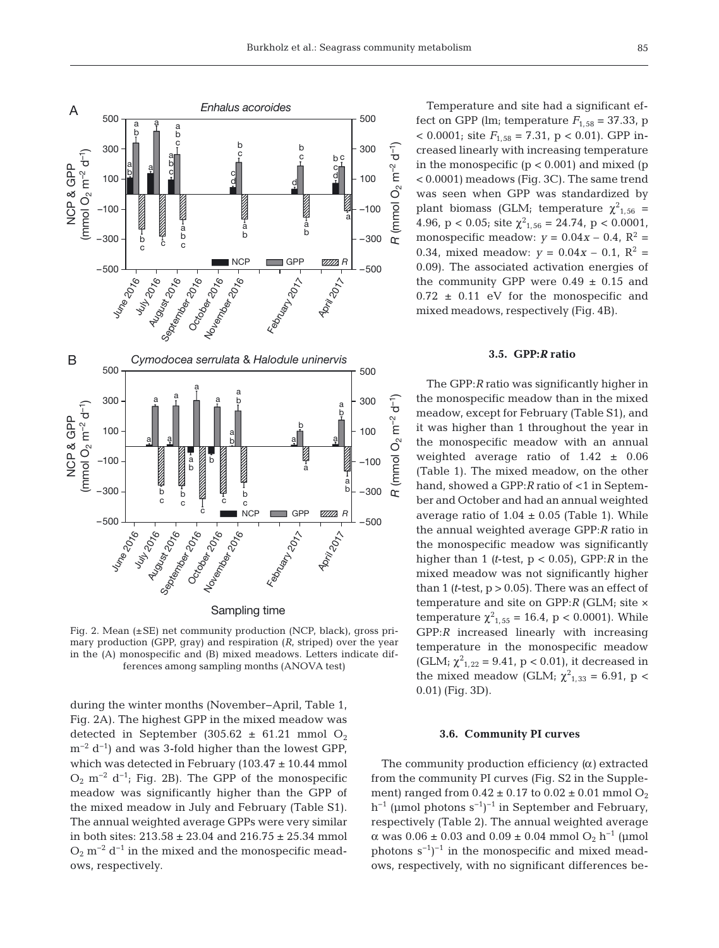

Fig. 2. Mean (±SE) net community production (NCP, black), gross primary production (GPP, gray) and respiration (*R*, striped) over the year in the (A) monospecific and (B) mixed meadows. Letters indicate differences among sampling months (ANOVA test)

during the winter months (November−April, Table 1, Fig. 2A). The highest GPP in the mixed meadow was detected in September (305.62  $\pm$  61.21 mmol O<sub>2</sub>  $m^{-2} d^{-1}$ ) and was 3-fold higher than the lowest GPP, which was detected in February ( $103.47 \pm 10.44$  mmol  $O_2$  m<sup>-2</sup> d<sup>-1</sup>; Fig. 2B). The GPP of the monospecific meadow was significantly higher than the GPP of the mixed meadow in July and February (Table S1). The annual weighted average GPPs were very similar in both sites:  $213.58 \pm 23.04$  and  $216.75 \pm 25.34$  mmol  $O_2$  m<sup>-2</sup> d<sup>-1</sup> in the mixed and the monospecific meadows, respectively.

Temperature and site had a significant effect on GPP (lm; temperature  $F_{1,58} = 37.33$ , p  $< 0.0001$ ; site  $F_{1,58} = 7.31$ , p  $< 0.01$ ). GPP increased linearly with increasing temperature in the monospecific  $(p < 0.001)$  and mixed  $(p$ < 0.0001) meadows (Fig. 3C). The same trend was seen when GPP was standardized by plant biomass (GLM; temperature  $\chi^2_{1,56}$  = 4.96,  $p < 0.05$ ; site  $\chi^2_{1,56} = 24.74$ ,  $p < 0.0001$ , monospecific meadow:  $y = 0.04x - 0.4$ ,  $R^2 =$ 0.34, mixed meadow:  $y = 0.04x - 0.1$ ,  $R^2 =$ 0.09). The associated activation energies of the community GPP were  $0.49 \pm 0.15$  and  $0.72 \pm 0.11$  eV for the monospecific and mixed meadows, respectively (Fig. 4B).

## **3.5. GPP:***R* **ratio**

The GPP:*R* ratio was significantly higher in the monospecific meadow than in the mixed meadow, except for February (Table S1), and it was higher than 1 throughout the year in the monospecific meadow with an annual weighted average ratio of 1.42 ± 0.06 (Table 1). The mixed meadow, on the other hand, showed a GPP:*R* ratio of <1 in September and October and had an annual weighted average ratio of  $1.04 \pm 0.05$  (Table 1). While the annual weighted average GPP:*R* ratio in the monospecific meadow was significantly higher than 1 *(t*-test, p < 0.05), GPP:*R* in the mixed meadow was not significantly higher than 1 ( $t$ -test,  $p > 0.05$ ). There was an effect of temperature and site on GPP:*R* (GLM; site × temperature  $\chi^2_{1,55} = 16.4$ , p < 0.0001). While GPP:*R* increased linearly with increasing temperature in the monospecific meadow (GLM;  $\chi^2_{1,22} = 9.41$ , p < 0.01), it decreased in the mixed meadow (GLM;  $\chi^2_{1,33} = 6.91$ , p < 0.01) (Fig. 3D).

#### **3.6. Community PI curves**

The community production efficiency *(*α*)* extracted from the community PI curves (Fig. S2 in the Supplement) ranged from  $0.42 \pm 0.17$  to  $0.02 \pm 0.01$  mmol  $O_2$ h<sup>-1</sup> (µmol photons s<sup>-1</sup>)<sup>-1</sup> in September and February, respectively (Table 2). The annual weighted average α was  $0.06 \pm 0.03$  and  $0.09 \pm 0.04$  mmol  $O_2$  h<sup>-1</sup> (μmol photons  $s^{-1}$ )<sup>-1</sup> in the monospecific and mixed meadows, respectively, with no significant differences be -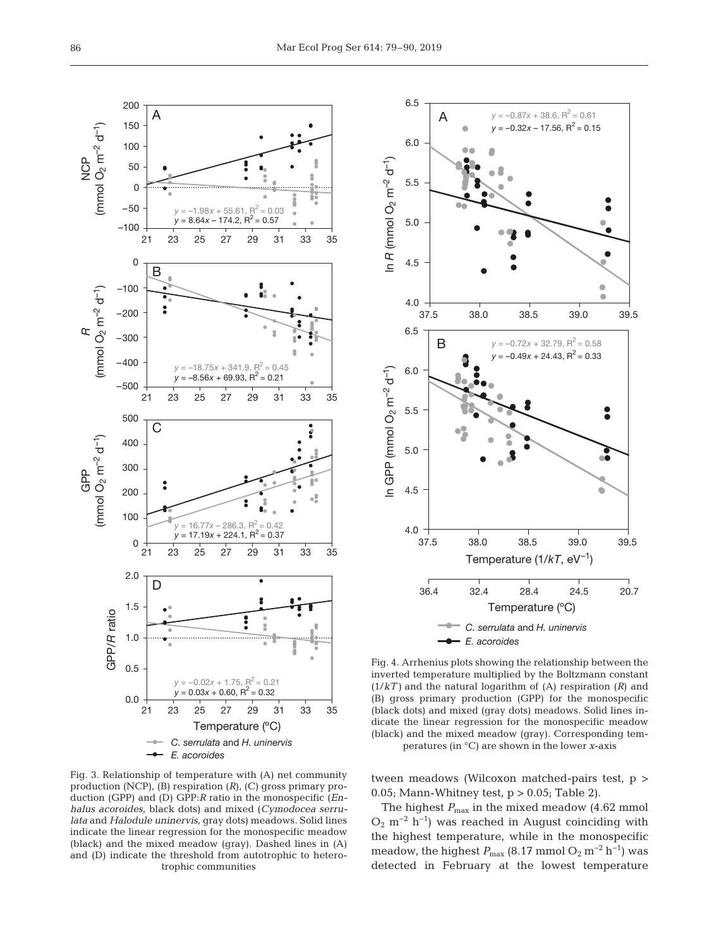

Fig. 3. Relationship of temperature with (A) net community production (NCP), (B) respiration (*R*), (C) gross primary production (GPP) and (D) GPP:*R* ratio in the monospecific (*Enhalus acoroides*, black dots) and mixed (*Cymodocea serrulata* and *Halodule uninervis*, gray dots) meadows. Solid lines indicate the linear regression for the monospecific meadow (black) and the mixed meadow (gray). Dashed lines in (A) and (D) indicate the threshold from autotrophic to heterotrophic communities



Fig. 4. Arrhenius plots showing the relationship between the inverted temperature multiplied by the Boltzmann constant (1/*kT)* and the natural logarithm of (A) respiration (*R*) and (B) gross primary production (GPP) for the monospecific (black dots) and mixed (gray dots) meadows. Solid lines indicate the linear regression for the monospecific meadow (black) and the mixed meadow (gray). Corresponding temperatures (in °C) are shown in the lower *x*-axis

tween meadows (Wilcoxon matched-pairs test, p > 0.05; Mann-Whitney test,  $p > 0.05$ ; Table 2).

The highest  $P_{\text{max}}$  in the mixed meadow (4.62 mmol  $O_2$  m<sup>-2</sup> h<sup>-1</sup>) was reached in August coinciding with the highest temperature, while in the monospecific meadow, the highest  $P_{\text{max}}$  (8.17 mmol O<sub>2</sub> m<sup>-2</sup> h<sup>-1</sup>) was detected in February at the lowest temperature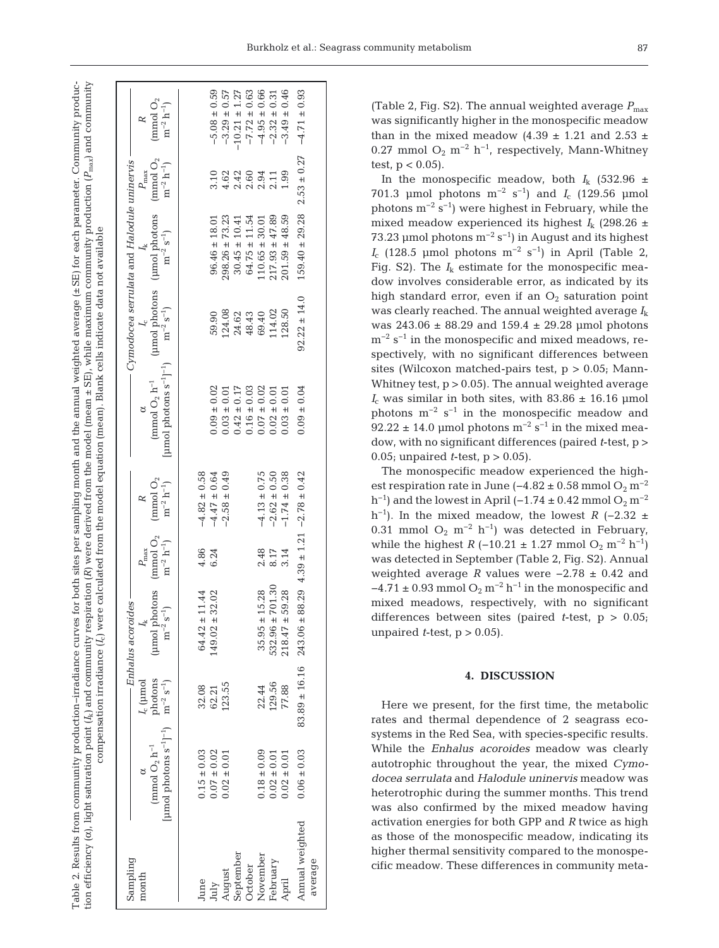Table 2. Results from community production-irradiance curves for both sites per sampling month and the annual weighted average (±SE) for each parameter. Community producion efficiency (α), light saturation point ( $I_k$ ) and community respiration (R) were derived from the model (mean ± SE), while maximum community production ( $P_{\rm max}$ ) and community *P*ma*x*) and community Table 2. Results from community production−irradiance curves for both sites per sampling month and the annual weighted average (±SE) for each parameter. Community produc-*R*) were derived from the model (mean ± SE), while maximum community production ( compensation irradiance  $(I_{c})$  were calculated from the model equation (mean). Blank cells indicate data not available compensation irradiance (*I*c) were calculated from the model equation (mean). Blank cells indicate data not availableα), light saturation point (*I*k) and community respiration ( tion efficiency (

|  |                                              | $\approx$         | (mmol $O_2$<br>$\mathrm{m}^{-2}\,\mathrm{h}^{-1})$                                                                                                                                          |               | $-5.08 \pm 0.59$                     | $-3.29 \pm 0.57$   | $-10.21 \pm 1.27$ | $-7.72 \pm 0.63$                                                               | $-4.95 \pm 0.66$     | $-2.32 \pm 0.31$                     | $-3.49 \pm 0.46$      | $-4.71 \pm 0.93$                         |         |
|--|----------------------------------------------|-------------------|---------------------------------------------------------------------------------------------------------------------------------------------------------------------------------------------|---------------|--------------------------------------|--------------------|-------------------|--------------------------------------------------------------------------------|----------------------|--------------------------------------|-----------------------|------------------------------------------|---------|
|  |                                              | $P_{\max}$        |                                                                                                                                                                                             |               |                                      |                    |                   |                                                                                |                      |                                      |                       | $2.53 \pm 0.27$                          |         |
|  | - Cymodocea serrulata and Halodule uninervis | $I_k$             | $(\text{µmol photons} \quad (\text{µmol photons} \quad (\text{mmol O}_{2} \quad \text{mm}^{-2} \, \text{s}^{-1}) \\ \text{m}^{-2} \, \text{s}^{-1}) \qquad \text{m}^{-2} \, \text{h}^{-1})$ |               | $96.46 \pm 18.01$                    | $298.26 \pm 73.23$ | $30.45 \pm 10.41$ | $64.75 \pm 11.54$                                                              | $110.65 \pm 30.01$   | $217.93 \pm 47.89$                   | $201.59 \pm 48.59$    | $159.40 \pm 29.28$                       |         |
|  |                                              | $I_c$             |                                                                                                                                                                                             |               | 59.90                                | 124.08             |                   | 24.62<br>48.43                                                                 | 69.40                | 114.02                               | 128.50                | $92.22 \pm 14.0$                         |         |
|  |                                              |                   | [ $\mu$ mol photons $s^{-1}$ ] <sup>-1</sup> )<br>(mmol $O_2$ h <sup>-1</sup>                                                                                                               |               | $0.09 \pm 0.02$                      | $0.03 \pm 0.01$    | $0.42 \pm 0.17$   | $\begin{array}{c} 0.16 \pm 0.03 \\ 0.07 \pm 0.02 \\ 0.02 \pm 0.01 \end{array}$ |                      |                                      | $0.03 \pm 0.01$       | $0.09 \pm 0.04$                          |         |
|  |                                              |                   | $\displaystyle \frac{\text{(mmol\ O_{2}}}{\text{m}^{-2}\ \text{h}^{-1} \text{)}}$                                                                                                           |               | $-4.82 \pm 0.58$<br>$-4.47 \pm 0.64$ | $-2.58 \pm 0.49$   |                   |                                                                                |                      | $-4.13 \pm 0.75$<br>$-2.62 \pm 0.50$ | $-1.74 \pm 0.38$      | $88.29$ 4.39 $\pm$ 1.21 -2.78 $\pm$ 0.42 |         |
|  |                                              | $P_{\rm max}$     |                                                                                                                                                                                             | 4.86<br>6.24  |                                      |                    |                   |                                                                                |                      | 2.48<br>8.17                         | 3.14                  |                                          |         |
|  | — Enhalus acoroides -                        | $I_{\rm k}$       | (µmol photons (mmol $O_2$<br>m <sup>-2</sup> s <sup>-1</sup> ) m <sup>-2</sup> h <sup>-1</sup> )                                                                                            | $64.42 \pm$   | 11.44<br>32.02<br>$49.02 \pm$        |                    |                   |                                                                                | 15.28<br>$35.95 \pm$ | 701.30<br>$532.96 \pm$               | 59.28<br>$218.47 \pm$ | $243.06 \pm$                             |         |
|  |                                              | $I_c$ ( $\mu$ mol | photons<br>$m^{-2} s^{-1}$                                                                                                                                                                  | 32.08         | 62.21                                | 123.55             |                   |                                                                                | 22.44                | 129.56                               | 77.88                 | $83.89 \pm 16.16$                        |         |
|  |                                              |                   | [ $\mu$ mol photons $s^{-1}$ ] <sup>-1</sup> )<br>$\pmod{O_2 h^{-1}}$                                                                                                                       | $0.15\pm0.03$ | $0.07 \pm 0.02$                      | $0.02 \pm 0.01$    |                   |                                                                                | $0.18 \pm 0.09$      | $0.02 \pm 0.01$                      | $0.02 \pm 0.01$       | $0.06 \pm 0.03$                          |         |
|  | Sampling                                     | month             |                                                                                                                                                                                             | June          | July                                 |                    |                   | August<br>September<br>October                                                 | November             | February                             | April                 | Annual weighted                          | average |

(Table 2, Fig. S2). The annual weighted average  $P_{\text{max}}$ was significantly higher in the monospecific meadow than in the mixed meadow (4.39  $\pm$  1.21 and 2.53  $\pm$ 0.27 mmol  $O_2$  m<sup>-2</sup> h<sup>-1</sup>, respectively, Mann-Whitney test,  $p < 0.05$ ).

In the monospecific meadow, both  $I_k$  (532.96  $\pm$ 701.3 µmol photons m−2 s−1) and *I*<sup>c</sup> (129.56 µmol photons  $m^{-2}$  s<sup>-1</sup>) were highest in February, while the mixed meadow experienced its highest  $I_k$  (298.26  $\pm$ 73.23 µmol photons  $m^{-2} s^{-1}$ ) in August and its highest  $I_c$  (128.5 µmol photons m<sup>-2</sup> s<sup>-1</sup>) in April (Table 2, Fig. S2). The  $I_k$  estimate for the monospecific meadow involves considerable error, as indicated by its high standard error, even if an  $O_2$  saturation point was clearly reached. The annual weighted average *I*<sup>k</sup> was 243.06 ± 88.29 and 159.4 ± 29.28 µmol photons m<sup>-2</sup> s<sup>-1</sup> in the monospecific and mixed meadows, respectively, with no significant differences between sites (Wilcoxon matched-pairs test,  $p > 0.05$ ; Mann-Whitney test,  $p > 0.05$ ). The annual weighted average  $I_c$  was similar in both sites, with 83.86  $\pm$  16.16 µmol photons  $m^{-2}$  s<sup>-1</sup> in the monospecific meadow and 92.22 ± 14.0 µmol photons  $m^{-2}$  s<sup>-1</sup> in the mixed meadow, with no significant differences (paired *t*-test, p > 0.05; unpaired *t*-test, p > 0.05).

The monospecific meadow experienced the highest respiration rate in June (−4.82 ± 0.58 mmol  $O_2$  m<sup>-2</sup> h<sup>-1</sup>) and the lowest in April (-1.74 ± 0.42 mmol  $O_2$  m<sup>-2</sup> h<sup>-1</sup>). In the mixed meadow, the lowest  $R$  (−2.32 ± 0.31 mmol O<sub>2</sub> m<sup>-2</sup> h<sup>-1</sup>) was detected in February, while the highest *R* (−10.21 ± 1.27 mmol O<sub>2</sub> m<sup>-2</sup> h<sup>-1</sup>) was detected in September (Table 2, Fig. S2). Annual weighted average *R* values were −2.78 ± 0.42 and  $-4.71 \pm 0.93$  mmol  $O_2$  m<sup>-2</sup> h<sup>-1</sup> in the monospecific and mixed meadows, respectively, with no significant differences between sites (paired *t*-test, p > 0.05; unpaired  $t$ -test,  $p > 0.05$ ).

# **4. DISCUSSION**

Here we present, for the first time, the metabolic rates and thermal dependence of 2 seagrass ecosystems in the Red Sea, with species-specific results. While the *Enhalus acoroides* meadow was clearly autotrophic throughout the year, the mixed *Cymo docea serrulata* and *Halodule uninervis* meadow was heterotrophic during the summer months. This trend was also confirmed by the mixed meadow having activation energies for both GPP and *R* twice as high as those of the monospecific meadow, indicating its higher thermal sensitivity compared to the monospecific meadow. These differences in community meta -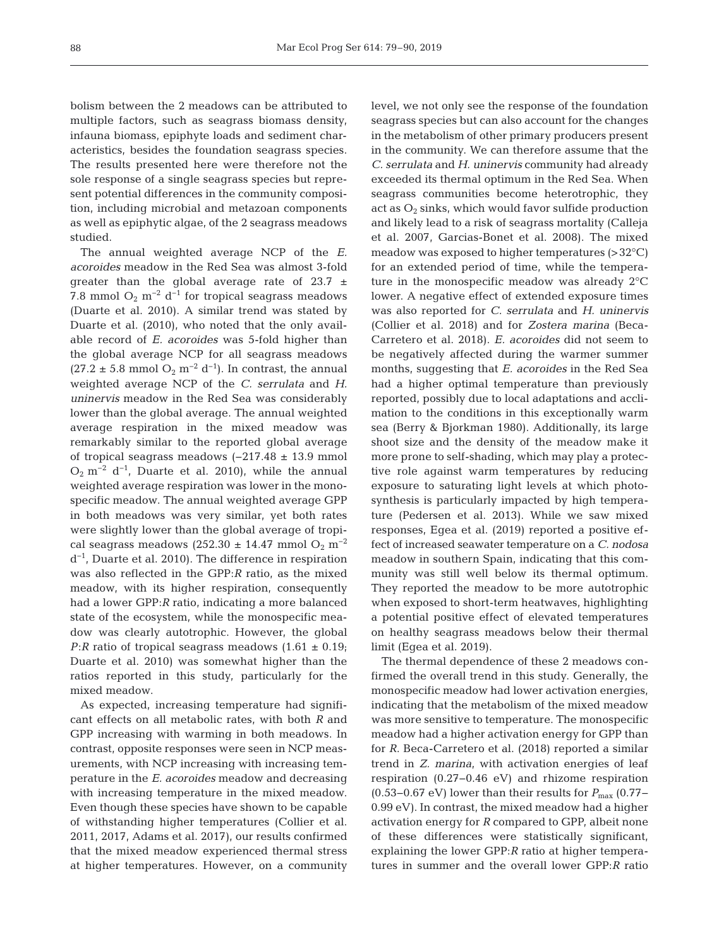bolism between the 2 meadows can be attributed to multiple factors, such as seagrass biomass density, infauna biomass, epiphyte loads and sediment characteristics, besides the foundation seagrass species. The results presented here were therefore not the sole response of a single seagrass species but represent potential differences in the community composition, including microbial and metazoan components as well as epiphytic algae, of the 2 seagrass meadows studied.

The annual weighted average NCP of the *E. acoroides* meadow in the Red Sea was almost 3-fold greater than the global average rate of  $23.7 \pm$ 7.8 mmol  $O_2$  m<sup>-2</sup> d<sup>-1</sup> for tropical seagrass meadows (Duarte et al. 2010). A similar trend was stated by Duarte et al. (2010), who noted that the only available record of *E. acoroides* was 5-fold higher than the global average NCP for all seagrass meadows  $(27.2 \pm 5.8 \text{ mmol O}_2 \text{ m}^{-2} \text{ d}^{-1})$ . In contrast, the annual weighted average NCP of the *C. serrulata* and *H. uninervis* meadow in the Red Sea was considerably lower than the global average. The annual weighted average respiration in the mixed meadow was remarkably similar to the reported global average of tropical seagrass meadows (−217.48 ± 13.9 mmol  $O_2$  m<sup>-2</sup> d<sup>-1</sup>, Duarte et al. 2010), while the annual weighted average respiration was lower in the monospecific meadow. The annual weighted average GPP in both meadows was very similar, yet both rates were slightly lower than the global average of tropical seagrass meadows (252.30 ± 14.47 mmol  $O_2$  m<sup>-2</sup> d−1, Duarte et al. 2010). The difference in respiration was also reflected in the GPP:*R* ratio, as the mixed meadow, with its higher respiration, consequently had a lower GPP:*R* ratio, indicating a more balanced state of the ecosystem, while the monospecific mea dow was clearly autotrophic. However, the global *P*:*R* ratio of tropical seagrass meadows  $(1.61 \pm 0.19)$ ; Duarte et al. 2010) was somewhat higher than the ratios reported in this study, particularly for the mixed meadow.

As expected, increasing temperature had significant effects on all metabolic rates, with both *R* and GPP increasing with warming in both meadows. In contrast, opposite responses were seen in NCP measurements, with NCP increasing with increasing temperature in the *E. acoroides* meadow and decreasing with increasing temperature in the mixed meadow. Even though these species have shown to be capable of withstanding higher temperatures (Collier et al. 2011, 2017, Adams et al. 2017), our results confirmed that the mixed meadow experienced thermal stress at higher temperatures. However, on a community level, we not only see the response of the foundation seagrass species but can also account for the changes in the metabolism of other primary producers present in the community. We can therefore assume that the *C. serrulata* and *H. uninervis* community had already exceeded its thermal optimum in the Red Sea. When seagrass communities become heterotrophic, they act as  $O_2$  sinks, which would favor sulfide production and likely lead to a risk of seagrass mortality (Calleja et al. 2007, Garcias-Bonet et al. 2008). The mixed meadow was exposed to higher temperatures (>32°C) for an extended period of time, while the temperature in the monospecific meadow was already 2°C lower. A negative effect of extended exposure times was also reported for *C. serrulata* and *H. uninervis* (Collier et al. 2018) and for *Zostera marina* (Beca-Carretero et al. 2018). *E. acoroides* did not seem to be negatively affected during the warmer summer months, suggesting that *E. acoroides* in the Red Sea had a higher optimal temperature than previously reported, possibly due to local adaptations and acclimation to the conditions in this exceptionally warm sea (Berry & Bjorkman 1980). Additionally, its large shoot size and the density of the meadow make it more prone to self-shading, which may play a protective role against warm temperatures by reducing exposure to saturating light levels at which photosynthesis is particularly impacted by high temperature (Pedersen et al. 2013). While we saw mixed responses, Egea et al. (2019) reported a positive ef fect of increased seawater temperature on a *C. no dosa* meadow in southern Spain, indicating that this community was still well below its thermal optimum. They reported the meadow to be more autotrophic when exposed to short-term heatwaves, highlighting a potential positive effect of elevated temperatures on healthy seagrass meadows below their thermal limit (Egea et al. 2019).

The thermal dependence of these 2 meadows confirmed the overall trend in this study. Generally, the monospecific meadow had lower activation energies, indicating that the metabolism of the mixed meadow was more sensitive to temperature. The monospecific meadow had a higher activation energy for GPP than for *R*. Beca-Carretero et al. (2018) reported a similar trend in *Z. marina*, with activation energies of leaf respiration (0.27−0.46 eV) and rhizome respiration (0.53–0.67 eV) lower than their results for  $P_{\text{max}}$  (0.77– 0.99 eV). In contrast, the mixed meadow had a higher activation energy for *R* compared to GPP, albeit none of these differences were statistically significant, explaining the lower GPP:*R* ratio at higher temperatures in summer and the overall lower GPP:*R* ratio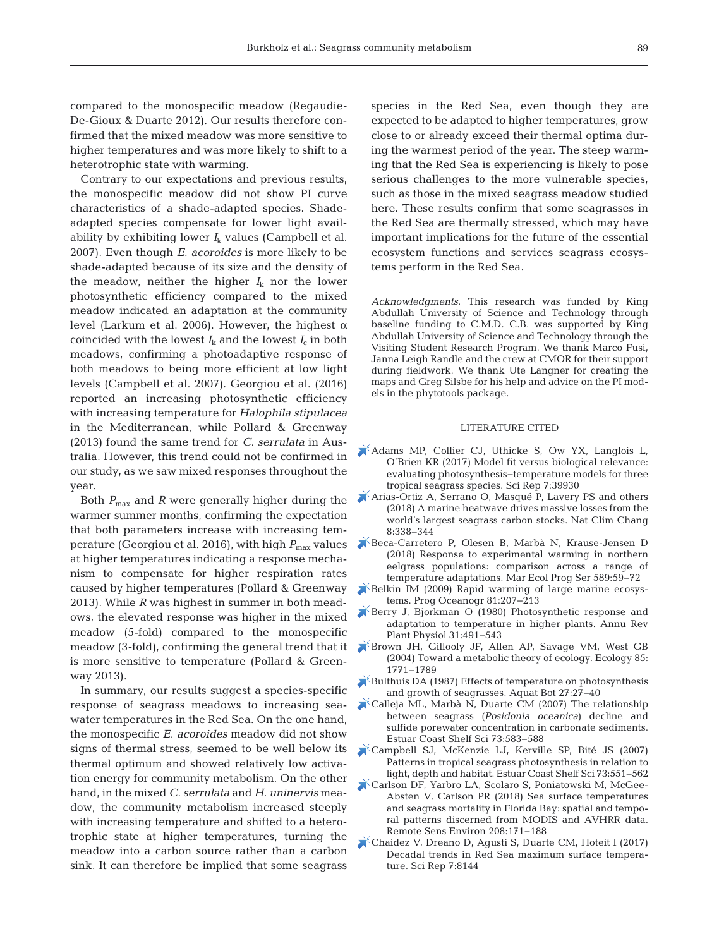compared to the monospecific meadow (Regaudie-De-Gioux & Duarte 2012). Our results therefore confirmed that the mixed meadow was more sensitive to higher temperatures and was more likely to shift to a heterotrophic state with warming.

Contrary to our expectations and previous results, the monospecific meadow did not show PI curve characteristics of a shade-adapted species. Shadeadapted species compensate for lower light avail ability by exhibiting lower  $I_k$  values (Campbell et al. 2007). Even though *E. acoroides* is more likely to be shade-adapted because of its size and the density of the meadow, neither the higher  $I_k$  nor the lower photosynthetic efficiency compared to the mixed meadow indicated an adaptation at the community level (Larkum et al. 2006). However, the highest  $α$ coincided with the lowest  $I_k$  and the lowest  $I_c$  in both meadows, confirming a photoadaptive response of both meadows to being more efficient at low light levels (Campbell et al. 2007). Georgiou et al. (2016) reported an increasing photosynthetic efficiency with increasing temperature for *Halophila stipulacea* in the Mediterranean, while Pollard & Greenway (2013) found the same trend for *C. serrulata* in Australia. However, this trend could not be confirmed in our study, as we saw mixed responses throughout the year.

Both *P*max and *R* were generally higher during the warmer summer months, confirming the expectation that both parameters increase with increasing temperature (Georgiou et al. 2016), with high  $P_{\text{max}}$  values at higher temperatures indicating a response mechanism to compensate for higher respiration rates caused by higher temperatures (Pollard & Greenway 2013). While *R* was highest in summer in both meadows, the elevated response was higher in the mixed meadow (5-fold) compared to the monospecific meadow (3-fold), confirming the general trend that it is more sensitive to temperature (Pollard & Greenway 2013).

In summary, our results suggest a species-specific response of seagrass meadows to increasing seawater temperatures in the Red Sea. On the one hand, the monospecific *E. acoroides* meadow did not show signs of thermal stress, seemed to be well below its thermal optimum and showed relatively low activation energy for community metabolism. On the other hand, in the mixed *C. serrulata* and *H. uninervis* mea dow, the community metabolism increased steeply with increasing temperature and shifted to a heterotrophic state at higher temperatures, turning the meadow into a carbon source rather than a carbon sink. It can therefore be implied that some seagrass

species in the Red Sea, even though they are expected to be adapted to higher temperatures, grow close to or already exceed their thermal optima during the warmest period of the year. The steep warming that the Red Sea is experiencing is likely to pose serious challenges to the more vulnerable species, such as those in the mixed seagrass meadow studied here. These results confirm that some seagrasses in the Red Sea are thermally stressed, which may have important implications for the future of the essential ecosystem functions and services seagrass ecosystems perform in the Red Sea.

*Acknowledgments*. This research was funded by King Abdullah University of Science and Technology through baseline funding to C.M.D. C.B. was supported by King Abdullah University of Science and Technology through the Visiting Student Research Program. We thank Marco Fusi, Janna Leigh Randle and the crew at CMOR for their support during fieldwork. We thank Ute Langner for creating the maps and Greg Silsbe for his help and advice on the PI models in the phytotools package.

## LITERATURE CITED

- [Adams MP, Collier CJ, Uthicke S, Ow YX, Langlois L,](https://www.ncbi.nlm.nih.gov/entrez/query.fcgi?cmd=Retrieve&db=PubMed&list_uids=28051123&dopt=Abstract) O'Brien KR (2017) Model fit versus biological relevance: evaluating photosynthesis−temperature models for three tropical seagrass species. Sci Rep 7: 39930
- [Arias-Ortiz A, Serrano O, Masqué P, Lavery PS and others](https://doi.org/10.1038/s41558-018-0096-y) (2018) A marine heatwave drives massive losses from the world's largest seagrass carbon stocks. Nat Clim Chang 8: 338−344
- [Beca-Carretero P, Olesen B, Marbà N, Krause-Jensen D](https://doi.org/10.3354/meps12439) (2018) Response to experimental warming in northern eelgrass populations: comparison across a range of temperature adaptations. Mar Ecol Prog Ser 589:59−72
- [Belkin IM \(2009\) Rapid warming of large marine ecosys](https://doi.org/10.1016/j.pocean.2009.04.011)tems. Prog Oceanogr 81:207-213
- [Berry J, Bjorkman O \(1980\) Photosynthetic response and](https://doi.org/10.1146/annurev.pp.31.060180.002423) adaptation to temperature in higher plants. Annu Rev Plant Physiol 31:491-543
- [Brown JH, Gillooly JF, Allen AP, Savage VM, West GB](https://doi.org/10.1890/03-9000) (2004) Toward a metabolic theory of ecology. Ecology 85: 1771−1789
- [Bulthuis DA \(1987\) Effects of temperature on photosynthesis](https://doi.org/10.1016/0304-3770(87)90084-2) and growth of seagrasses. Aquat Bot 27:27-40
- [Calleja ML, Marbà N, Duarte CM \(2007\) The relationship](https://doi.org/10.1016/j.ecss.2007.02.016) between seagrass (*Posidonia oceanica*) decline and sulfide porewater concentration in carbonate sediments. Estuar Coast Shelf Sci 73: 583−588
- [Campbell SJ, McKenzie LJ, Kerville SP, Bité JS \(2007\)](https://doi.org/10.1016/j.ecss.2007.02.014) Patterns in tropical seagrass photosynthesis in relation to light, depth and habitat. Estuar Coast Shelf Sci 73: 551−562
- [Carlson DF, Yarbro LA, Scolaro S, Poniatowski M, McGee-](https://doi.org/10.1016/j.rse.2018.02.014)Absten V, Carlson PR (2018) Sea surface temperatures and seagrass mortality in Florida Bay: spatial and temporal patterns discerned from MODIS and AVHRR data. Remote Sens Environ 208: 171−188
- [Chaidez V, Dreano D, Agusti S, Duarte CM, Hoteit I \(2017\)](https://doi.org/10.1038/s41598-017-08146-z) Decadal trends in Red Sea maximum surface temperature. Sci Rep 7:8144